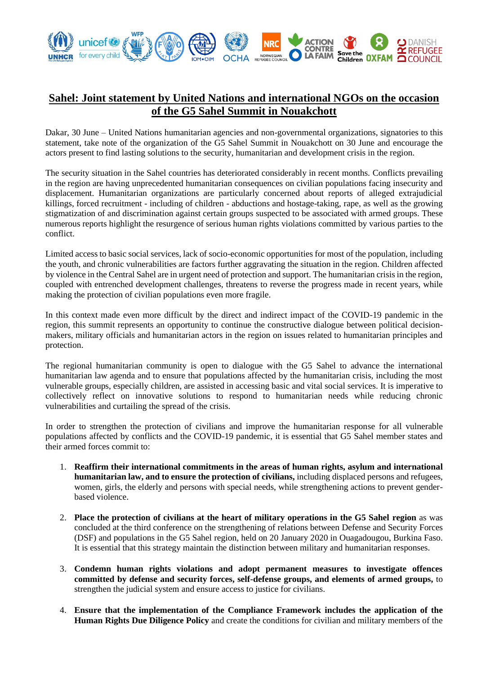

## **Sahel: Joint statement by United Nations and international NGOs on the occasion of the G5 Sahel Summit in Nouakchott**

Dakar, 30 June – United Nations humanitarian agencies and non-governmental organizations, signatories to this statement, take note of the organization of the G5 Sahel Summit in Nouakchott on 30 June and encourage the actors present to find lasting solutions to the security, humanitarian and development crisis in the region.

The security situation in the Sahel countries has deteriorated considerably in recent months. Conflicts prevailing in the region are having unprecedented humanitarian consequences on civilian populations facing insecurity and displacement. Humanitarian organizations are particularly concerned about reports of alleged extrajudicial killings, forced recruitment - including of children - abductions and hostage-taking, rape, as well as the growing stigmatization of and discrimination against certain groups suspected to be associated with armed groups. These numerous reports highlight the resurgence of serious human rights violations committed by various parties to the conflict.

Limited access to basic social services, lack of socio-economic opportunities for most of the population, including the youth, and chronic vulnerabilities are factors further aggravating the situation in the region. Children affected by violence in the Central Sahel are in urgent need of protection and support. The humanitarian crisis in the region, coupled with entrenched development challenges, threatens to reverse the progress made in recent years, while making the protection of civilian populations even more fragile.

In this context made even more difficult by the direct and indirect impact of the COVID-19 pandemic in the region, this summit represents an opportunity to continue the constructive dialogue between political decisionmakers, military officials and humanitarian actors in the region on issues related to humanitarian principles and protection.

The regional humanitarian community is open to dialogue with the G5 Sahel to advance the international humanitarian law agenda and to ensure that populations affected by the humanitarian crisis, including the most vulnerable groups, especially children, are assisted in accessing basic and vital social services. It is imperative to collectively reflect on innovative solutions to respond to humanitarian needs while reducing chronic vulnerabilities and curtailing the spread of the crisis.

In order to strengthen the protection of civilians and improve the humanitarian response for all vulnerable populations affected by conflicts and the COVID-19 pandemic, it is essential that G5 Sahel member states and their armed forces commit to:

- 1. **Reaffirm their international commitments in the areas of human rights, asylum and international humanitarian law, and to ensure the protection of civilians,** including displaced persons and refugees, women, girls, the elderly and persons with special needs, while strengthening actions to prevent genderbased violence.
- 2. **Place the protection of civilians at the heart of military operations in the G5 Sahel region** as was concluded at the third conference on the strengthening of relations between Defense and Security Forces (DSF) and populations in the G5 Sahel region, held on 20 January 2020 in Ouagadougou, Burkina Faso. It is essential that this strategy maintain the distinction between military and humanitarian responses.
- 3. **Condemn human rights violations and adopt permanent measures to investigate offences committed by defense and security forces, self-defense groups, and elements of armed groups,** to strengthen the judicial system and ensure access to justice for civilians.
- 4. **Ensure that the implementation of the Compliance Framework includes the application of the Human Rights Due Diligence Policy** and create the conditions for civilian and military members of the